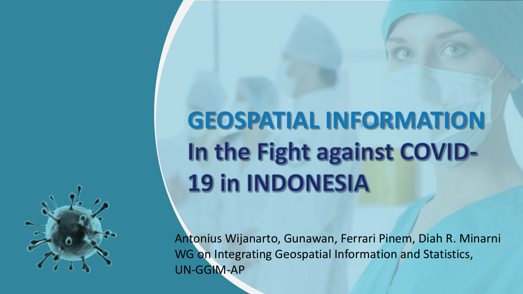

## **GEOSPATIAL INFORMATION**In the Fight against COVID-**19 in INDONESIA**

Antonius Wijanarto, Gunawan, Ferrari Pinem, Diah R. Minarni WG on Integrating Geospatial Information and Statistics, UN-GGIM-AP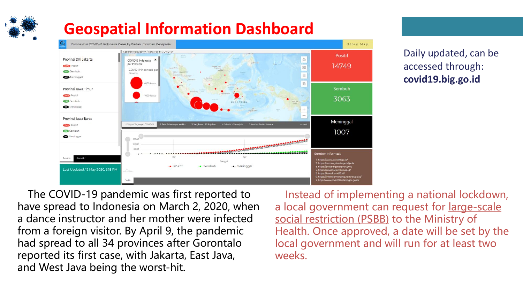#### **Geospatial Information Dashboard**



Daily updated, can be accessed through: **covid19.big.go.id**

The COVID-19 pandemic was first reported to have spread to Indonesia on March 2, 2020, when a dance instructor and her mother were infected from a foreign visitor. By April 9, the pandemic had spread to all 34 provinces after Gorontalo reported its first case, with Jakarta, East Java, and West Java being the worst-hit.

Instead of implementing a national lockdown, a local government can request for large-scale social restriction (PSBB) to the Ministry of Health. Once approved, a date will be set by the local government and will run for at least two weeks.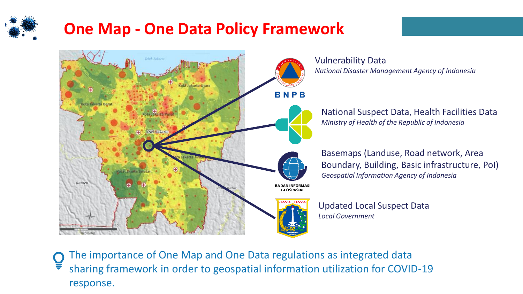#### **One Map - One Data Policy Framework**



The importance of One Map and One Data regulations as integrated data sharing framework in order to geospatial information utilization for COVID-19 response.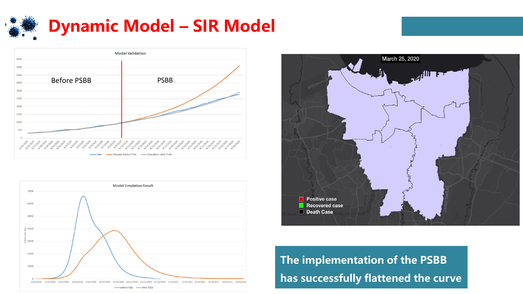







**The implementation of the PSBB has successfully flattened the curve**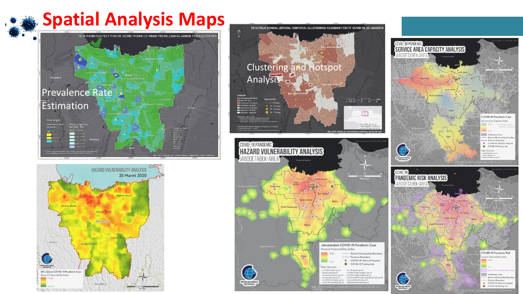### **Spatial Analysis Maps**







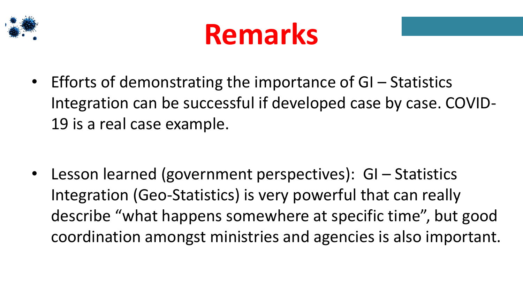



• Efforts of demonstrating the importance of GI – Statistics Integration can be successful if developed case by case. COVID-19 is a real case example.

• Lesson learned (government perspectives): GI – Statistics Integration (Geo-Statistics) is very powerful that can really describe "what happens somewhere at specific time", but good coordination amongst ministries and agencies is also important.